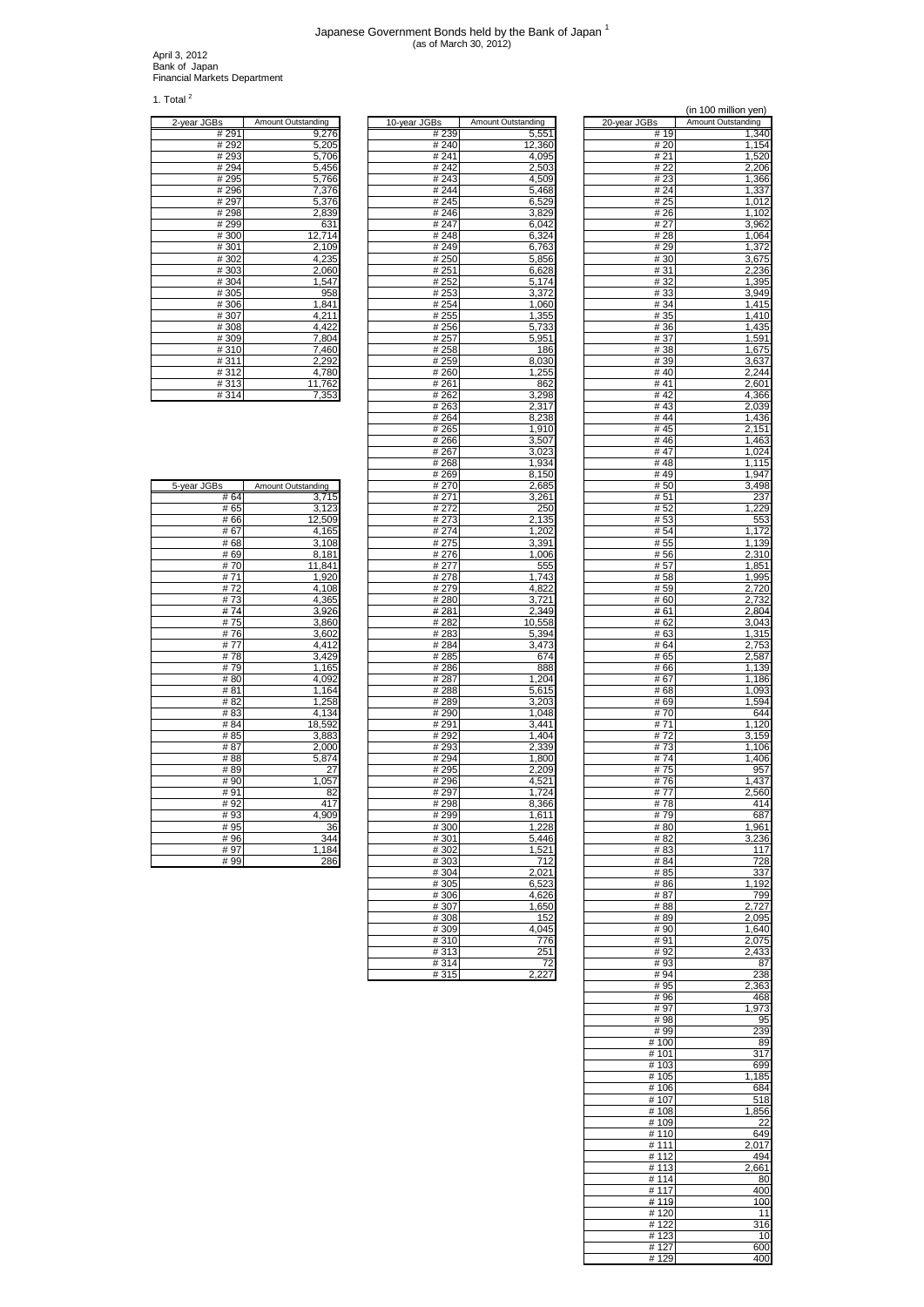## Japanese Government Bonds held by the Bank of Japan 1 (as of March 30, 2012)

April 3, 2012 Bank of Japan Financial Markets Department

1. Total $^2$ 

| 2-year JGBs                   | Amount Outstanding |
|-------------------------------|--------------------|
| #291                          | 9,276              |
| #292                          | 5,205              |
| #293                          | 5,706              |
| #294                          | 5,456              |
| #295                          | 5,766              |
| #296                          | 7,376              |
| # 297                         | 5,376              |
| #298                          | 2,839              |
| #299                          | 631                |
| #300                          | 12,714             |
| #301                          | 2,109              |
| #302                          | 4,235              |
| #303                          | 2,060              |
| #304                          | 1,547              |
| #305                          | 958                |
| #306                          | 1,841              |
| #307                          | 4,211              |
| #308                          | 4,422              |
| #309                          | 7,804              |
| #310                          | 7,460              |
| #311                          | 2,292              |
| #312                          | 4,780              |
| #313                          | 11,762             |
| $\overline{u}$ $\overline{u}$ | 7.050              |

|                |                             |              |               |                    |              | וטוווווווטו        |
|----------------|-----------------------------|--------------|---------------|--------------------|--------------|--------------------|
| iS             | Amount Outstanding          | 10-year JGBs |               | Amount Outstanding | 20-year JGBs | Amount Outstanding |
| # 291          | 9,276                       |              | #239          | 5,551              | # 19         | 1,340              |
| # 292          | 5,205                       |              | # 240         | 12,360             | # 20         | 1,154              |
| # 293<br># 294 | 5,706                       |              | # 241<br>#242 | 4,095              | # 21<br># 22 | 1,520<br>2,206     |
| # 295          | 5,456<br>5,766              |              | #243          | 2,503<br>4,509     | # 23         | 1,366              |
| # 296          | 7,376                       |              | #244          | 5,468              | # 24         | 1,337              |
| # 297          | 5.376                       |              | #245          | 6,529              | # 25         | 1,012              |
| #298           | 2,839                       |              | #246          | 3,829              | #26          | 1,102              |
| # 299          | 631                         |              | # 247         | 6,042              | # 27         | 3,962              |
| #300           | 12,714                      |              | #248          | 6,324              | # 28         | 1,064              |
| #301           | 2,109                       |              | #249          | 6,763              | # 29         | 1,372              |
| #302           | 4,235                       |              | #250          | 5,856              | # 30         | 3,675              |
| #303           | 2,060                       |              | #251          | 6,628              | #31          | 2,236              |
| #304           | 1,547                       |              | #252          | 5,174              | # 32         | 1,395              |
| #305           | 958                         |              | #253          | 3,372              | #33          | 3.949              |
| #306<br># 307  | 1,841<br>4,211              |              | #254<br># 255 | 1.060              | #34<br># 35  | 1,415<br>,410      |
| #308           | 4,422                       |              | #256          | 1,355<br>5,733     | #36          | 1,435              |
| #309           | 7,804                       |              | #257          | 5,951              | #37          | 1,591              |
| #310           | 7,460                       |              | #258          | 186                | # 38         | 1,675              |
| #311           | 2,292                       |              | # 259         | 8,030              | # 39         | 3,637              |
| #312           | 4,780                       |              | #260          | 1,255              | #40          | 2,244              |
| # 313          | 11,762                      |              | #261          | 862                | # 41         | 2,601              |
| #314           | 7,353                       |              | #262          | 3,298              | #42          | $\overline{4,}366$ |
|                |                             |              | # 263         | 2,317              | #43          | 2,039              |
|                |                             |              | # 264         | 8,238              | #44          | 1,436              |
|                |                             |              | # 265         | 1,910              | # 45         | 2,151              |
|                |                             |              | #266          | 3,507              | #46          | 1,463              |
|                |                             |              | # 267         | 3,023              | #47          | 1,024              |
|                |                             |              | #268          | 1,934              | #48          | 1,115              |
|                |                             |              | #269<br># 270 | 8,150<br>2.685     | #49<br># 50  | 1,947<br>3,498     |
| 'S<br># 64     | Amount Outstanding<br>3.715 |              | #271          | 3,261              | # 51         | 237                |
| # 65           | 3,123                       |              | # 272         | 250                | #52          | 1,229              |
| #66            | 12,509                      |              | # 273         | 2,135              | #53          | 553                |
| #67            | 4,165                       |              | #274          | 1,202              | # 54         | 1,172              |
| #68            | 3,108                       |              | # 275         | 3,391              | # 55         | 1,139              |
| # 69           | 8,181                       |              | #276          | 1,006              | # 56         | 2,310              |
| #70            | 11,841                      |              | # 277         | 555                | # 57         | 1,851              |
| #71            | 1,920                       |              | #278          | 1,743              | # 58         | 1,995              |
| #72            | 4,108                       |              | #279          | 4,822              | #59          | 2,720              |
| #73            | 4,365                       |              | #280          | 3,721              | #60          | 2,732              |
| #74            | 3,926                       |              | #281          | 2,349              | # 61         | 2,804              |
| #75            | 3,860                       |              | #282          | 10,558             | # 62         | 3,043              |
| #76<br>#77     | 3,602<br>4,412              |              | #283<br>#284  | 5,394<br>3,473     | # 63<br># 64 | 1,315<br>2,753     |
| #78            | 3,429                       |              | #285          | 674                | # 65         | 2,587              |
| #79            | 1,165                       |              | #286          | 888                | # 66         | 1,139              |
| #80            | 4,092                       |              | #287          | 1,204              | #67          | 1,186              |
| #81            | 1,164                       |              | #288          | 5,615              | #68          | 1,093              |
| #82            | 1,258                       |              | #289          | 3,203              | #69          | 1,594              |
| #83            | 4,134                       |              | #290          | 1,048              | #70          | 644                |
| #84            | 18,592                      |              | #291          | 3,441              | # 71         | 1,120              |
| #85            | 3,883                       |              | #292          | 1.404              | #72          | 3,159              |
| # 87           | 2,000                       |              | #293          | 2,339              | # 73         | 1,106              |
| #88            | 5,874                       |              | #294          | 1,800              | #74          | 1,406              |
| #89            | 27                          |              | #295          | 2,209              | #75          | 957                |
| # 90<br># 91   | 1,057<br>82                 |              | #296<br>#297  | 4,521<br>1,724     | #76<br>#77   | 1,437<br>2,560     |
| #92            | 417                         |              | #298          | 8,366              | #78          | 414                |
| #93            | 4,909                       |              | #299          | 1,611              | #79          | 687                |
| # 95           | 36                          |              | #300          | 1,228              | #80          | 1,961              |
| #96            | 344                         |              | #301          | 5,446              | # 82         | 3,236              |
| #97            | 1,184                       |              | #302          | 1,521              | #83          | 117                |
| #99            | 286                         |              | #303          | 712                | # 84         | 728                |
|                |                             |              | #304          | 2.021              | # 85         | 337                |
|                |                             |              | #305          | 6,523              | # 86         | 192                |
|                |                             |              | #306          | 4,626              | # 87         | 799                |
|                |                             |              | #307          | 1,650              | # 88         | 2,727              |
|                |                             |              | #308          | 152                | #89          | 2,095              |
|                |                             |              | #309<br>#310  | 4,045<br>776       | #90<br>#91   | 1,640<br>2,075     |
|                |                             |              | #313          | 251                | #92          | 2,433              |
|                |                             |              | #314          | 72                 | #93          | 87                 |
|                |                             |              | #315          | 2.227              | #94          | 238                |

|                |                    |                            | (in 100 million yen)        |
|----------------|--------------------|----------------------------|-----------------------------|
| Зs<br># 239    | Amount Outstanding | 20-year JGBs<br># 19       | Amount Outstanding<br>1,340 |
| # 240          | 5,551<br>12,360    | # 20                       | 1,154                       |
| # 241          | 4,095              | #21                        | 1,520                       |
| # 242          | 2,503              | # 22                       | 2,206                       |
| #243<br>#244   | 4,509<br>5,468     | #23<br># 24                | 1,366<br>1,337              |
| # 245          | 6,529              | # 25                       | 1,012                       |
| #246           | 3,829              | #26                        | 1,102                       |
| # 247<br>#248  | 6,042<br>6,324     | # 27<br>#28                | 3,962<br>1,064              |
| #249           | 6,763              | #29                        | 1,372                       |
| # 250          | 5,856              | #30                        | 3,675                       |
| # 251<br># 252 | 6,628<br>5,174     | #31<br>#32                 | 2,236<br>1,395              |
| # 253          | 3,372              | #33                        | 3,949                       |
| # 254          | 1,060              | #34                        | 1,415                       |
| # 255          | 1,355              | # 35                       | 1,410                       |
| # 256<br># 257 | 5,733<br>5,951     | #36<br># 37                | 1,435<br>1,591              |
| #258           | 186                | #38                        | 1,675                       |
| # 259          | 8,030              | # 39                       | 3,637                       |
| # 260<br># 261 | 1,255<br>862       | #40<br>#41                 | 2,244<br>2,601              |
| # 262          | 3,298              | #42                        | 4,366                       |
| # 263          | 2,317              | #43                        | 2,039                       |
| # 264<br># 265 | 8,238<br>1,910     | #44<br>#45                 | 1,436<br>2,151              |
| # 266          | 3,507              | #46                        | 1,463                       |
| # 267          | 3,023              | #47                        | 1,024                       |
| # 268          | 1,934              | #48                        | 1,115                       |
| # 269<br># 270 | 8,150<br>2,685     | #49<br># 50                | 1,947<br>3,498              |
| # 271          | 3,261              | # 51                       | 237                         |
| # 272          | 250                | # 52                       | 1,229                       |
| # 273<br># 274 | 2,135<br>1,202     | # 53<br># 54               | 553<br>1,172                |
| # 275          | 3,391              | # 55                       | 1,139                       |
| # 276          | 1,006              | #56                        | 2,310                       |
| # 277<br># 278 | 555<br>1,743       | # 57<br>#58                | 1,851<br>1,995              |
| # 279          | 4,822              | #59                        | 2,720                       |
| # 280          | 3,721              | # 60                       | 2,732                       |
| # 281          | 2,349              | # 61                       | 2,804                       |
| # 282<br># 283 | 10,558<br>5,394    | # 62<br># 63               | 3,043<br>1,315              |
| # 284          | 3,473              | # 64                       | 2,753                       |
| # 285          | 674                | # 65                       | 2,587                       |
| # 286<br># 287 | 888<br>1,204       | # 66<br># 67               | 1,139<br>1,186              |
| # 288          | 5,615              | # 68                       | 1,093                       |
| # 289          | 3,203              | # 69                       | 1,594                       |
| # 290<br># 291 | 1,048<br>3,441     | # 70<br># 71               | 644<br>1,120                |
| # 292          | 1,404              | #72                        | 3,159                       |
| #293           | 2,339              | # 73                       | 1,106                       |
| #294           | 1,800              | #74                        | 1,406<br>957                |
| # 295<br>#296  | 2,209<br>4,521     | # 75<br>#76                | 1,437                       |
| # 297          | 1,724              | # 77                       | 2,560                       |
| # 298          | 8,366              | # 78                       | 414                         |
| # 299<br>#300  | 1,611<br>1,228     | #79<br>#80                 | 687<br>1,961                |
| #301           | 5,446              | # 82                       | 3,236                       |
| #302           | 1,521              | # 83                       | 117                         |
| #303<br># 304  | 712<br>2,021       | # 84<br># 85               | 728<br>337                  |
| #305           | 6,523              | #86                        | 1,192                       |
| #306           | 4,626              | # 87                       | 799                         |
| # 307<br>#308  | 1,650              | # 88                       | 2,727                       |
| #309           | 152<br>4,045       | #89<br>#90                 | 2,095<br>1,640              |
| #310           | 776                | #91                        | 2,075                       |
| #313           | 251                | #92                        | 2,433                       |
| #314<br>#315   | 72<br>2,227        | #93<br>#94                 | 87<br>238                   |
|                |                    | #95                        | 2,363                       |
|                |                    | #96                        | 468                         |
|                |                    | #97<br>#98                 | 1,973<br>95                 |
|                |                    | #99                        | 239                         |
|                |                    | #100                       | 89                          |
|                |                    | # 101<br># 103             | 317<br>699                  |
|                |                    | # 105                      | 1,185                       |
|                |                    | # 106                      | 684                         |
|                |                    | # 107                      | 518                         |
|                |                    | # 108<br>#109              | 1,856<br>22                 |
|                |                    | # 110                      | 649                         |
|                |                    | # 111                      | 2,017                       |
|                |                    | # 112<br># 113             | 494<br>2,661                |
|                |                    | # 114                      | 80                          |
|                |                    | # 117                      | 400                         |
|                |                    | #119<br>#120               | 100<br>11                   |
|                |                    | #122                       | 316                         |
|                |                    | #123                       | 10                          |
|                |                    | # 127<br>$\frac{1}{4}$ 129 | 600                         |
|                |                    |                            | 400                         |

| 5-year JGBs | Amount Outstanding |
|-------------|--------------------|
| # 64        | 3,715              |
| #65         | 3,123              |
| #66         | 12,509             |
| #67         | 4,165              |
| #68         | 3,108              |
| #69         | 8,181              |
| #70         | 11,841             |
| # 71        | 1,920              |
| #72         | 4,108              |
| #73         | 4,365              |
| #74         | 3,926              |
| #75         | 3,860              |
| #76         | 3,602              |
| #77         | 4,412              |
| #78         | 3,429              |
| # 79        | 1,165              |
| #80         | 4,092              |
| #81         | 1,164              |
| #82         | 1,258              |
| #83         | 4,134              |
| #84         | 18,592             |
| #85         | 3,883              |
| # 87        | 2,000              |
| #88         | 5,874              |
| #89         | 27                 |
| #90         | 1,057              |
| #91         | 82                 |
| # 92        | 417                |
| #93         | 4,909              |
| # 95        | 36                 |
| #96         | 344                |
| # 97        | 1,184              |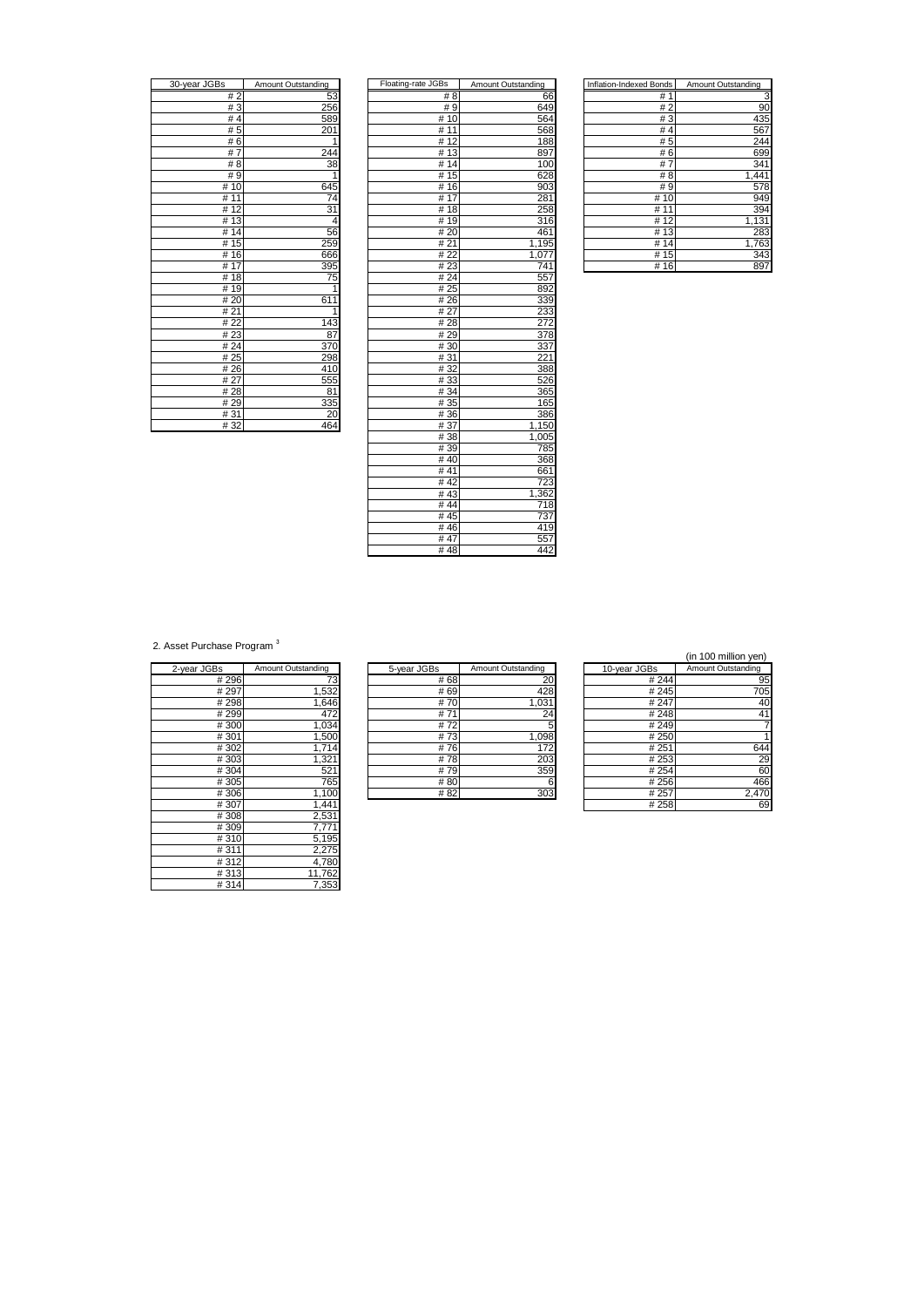| 30-year JGBs         | Amount Outstanding |
|----------------------|--------------------|
| #2                   | 53                 |
| #3                   | 256                |
| #4                   | 589                |
| #5                   | 201                |
| #6                   | 1                  |
| #7                   | 244                |
| # 8                  | 38                 |
| #9                   |                    |
| 10<br>#              | 645                |
| 11<br>#              | $\overline{74}$    |
| 12<br>#              | 31                 |
| 13<br>#              | 4                  |
| $\overline{14}$<br># | 56                 |
| $\overline{1}5$<br># | 259                |
| 16<br>#              | 666                |
| # $17$               | 395                |
| 18<br>#              | 75                 |
| 19<br>#              | $\mathbf{i}$       |
| # 20                 | 611                |
| #21                  |                    |
| # 22                 | 143                |
| #23                  | 87                 |
| # 24                 | 370                |
| #25                  | 298                |
| #26                  | 410                |
| # 27                 | 555                |
| #28                  | 81                 |
| #29                  | 335                |
| #31                  | 20                 |
| 400                  | ACA                |

| 30-year JGBs | Amount Outstanding | Floating-rate JGBs | Amount Outstanding | Inflation-Indexed Bonds | Amount Outstanding |
|--------------|--------------------|--------------------|--------------------|-------------------------|--------------------|
| #2           | 53                 | # 8                | 66                 | #1                      | З                  |
| #3           | 256                | #9                 | 649                | #2                      | 90                 |
| #4           | 589                | #10                | 564                | #3                      | 435                |
| #5           | 201                | $\overline{\#}$ 11 | 568                | #4                      | 567                |
| #6           |                    | #12                | 188                | #5                      | 244                |
| #7           | 244                | #13                | 897                | #6                      | 699                |
| #8           | 38                 | #14                | 100                | #7                      | 341                |
| #9           | 1                  | #15                | 628                | # 8                     | 1,441              |
| #10          | 645                | #16                | 903                | #9                      | 578                |
| # 11         | 74                 | #17                | 281                | #10                     | 949                |
| #12          | 31                 | #18                | 258                | # 11                    | 394                |
| #13          | 4                  | #19                | 316                | #12                     | 1,131              |
| #14          | 56                 | #20                | 461                | #13                     | 283                |
| #15          | 259                | #21                | 1,195              | #14                     | 1,763              |
| #16          | 666                | #22                | 1,077              | #15                     | 343                |
| #17          | 395                | #23                | 741                | #16                     | 897                |
| #18          | 75                 | #24                | 557                |                         |                    |
| #19          | 1                  | # 25               | 892                |                         |                    |
| #20          | 611                | #26                | 339                |                         |                    |
| #21          | 1                  | #27                | 233                |                         |                    |
| #22          | 143                | #28                | 272                |                         |                    |
| #23          | 87                 | #29                | 378                |                         |                    |
| #24          | 370                | #30                | 337                |                         |                    |
| #25          | 298                | #31                | 221                |                         |                    |
| #26          | 410                | #32                | 388                |                         |                    |
| # 27         | 555                | #33                | 526                |                         |                    |
| #28          | 81                 | #34                | 365                |                         |                    |
| #29          | 335                | # 35               | 165                |                         |                    |
| #31          | 20                 | #36                | 386                |                         |                    |
| #32          | 464                | #37                | 1,150              |                         |                    |
|              |                    | #38                | 1,005              |                         |                    |
|              |                    | #39                | 785                |                         |                    |
|              |                    | #40                | 368                |                         |                    |
|              |                    | #41                | 661                |                         |                    |
|              |                    | #42                | 723                |                         |                    |
|              |                    | #43                | 1,362              |                         |                    |
|              |                    | #44                | 718                |                         |                    |
|              |                    | #45                | 737                |                         |                    |
|              |                    | #46                | 419                |                         |                    |
|              |                    | #47                | 557                |                         |                    |
|              |                    | #48                | 442                |                         |                    |

| Inflation-Indexed Bonds | Amount Outstanding |
|-------------------------|--------------------|
| # 1                     |                    |
| #2                      | 90                 |
| #3                      | 435                |
| #4                      | 567                |
| # 5                     | 244                |
| #6                      | 699                |
| #7                      | 341                |
| # 8                     | 1,441              |
| # 9                     | 578                |
| # 10                    | 949                |
| #<br>11                 | 394                |
| # 12                    | 1,131              |
| #13                     | 283                |
| # 14                    | 1,763              |
| #15                     | 343                |
| #<br>16                 | 89                 |

2. Asset Purchase Program<sup>3</sup>

| 2-year JGBs | Amount Outstanding |
|-------------|--------------------|
| #296        | 73                 |
| # 297       | 1,532              |
| # 298       | 1,646              |
| # 299       | 472                |
| #300        | 1,034              |
| #301        | 1,500              |
| #302        | 1,714              |
| #303        | 1,321              |
| #304        | 521                |
| #305        | 765                |
| #306        | 1,100              |
| #307        | 1,441              |
| #308        | 2,531              |
| #309        | 7,771              |
| #310        | 5,195              |
| #311        | 2,275              |
| #312        | 4,780              |
| #313        | 11,762             |
| #314        | 7,353              |

| 2-year JGBs | Amount Outstanding | 5-year JGBs | Amount Outstanding | 10-year JGBs | Amount Outstanding |
|-------------|--------------------|-------------|--------------------|--------------|--------------------|
| #296        |                    | # 68        | 20                 | # 244        |                    |
| # 297       | 1,532              | # 69        | 428                | #245         |                    |
| #298        | .646               | #70         | 1,031              | # 247        |                    |
| #299        | 472                | #71         | 24                 | #248         |                    |
| #300        | 1.034              | #72         |                    | # 249        |                    |
| #301        | .500               | #73         | 1,098              | # 250        |                    |
| #302        | 714                | #76         | 172                | #251         | 6                  |
| #303        | 321،               | #78         | 203                | # 253        |                    |
| #304        | 521                | #79         | 359                | # 254        |                    |
| #305        | 765                | #80         | 6                  | # 256        |                    |
| #306        | i,100              | #82         | 303                | # 257        | 2,4                |

| (in 100 million yen) |
|----------------------|
| Annount Outstanding  |

| S     | Amount Outstanding | 5-year JGBs | Amount Outstanding | 10-year JGBs | Amount Outstanding |
|-------|--------------------|-------------|--------------------|--------------|--------------------|
| # 296 |                    | # 68        | 20                 | # 244        | 95                 |
| # 297 | ,532               | # 69        | 428                | #245         | 705                |
| #298  | ,646               | #70         | 1,031              | # 247        | 40                 |
| # 299 | 472                | #71         | 24                 | #248         | 41                 |
| #300  | 1,034              | #72         |                    | # 249        |                    |
| #301  | ,500               | #73         | 1,098              | # 250        |                    |
| #302  | ,714               | #76         | 172                | # 251        | 644                |
| #303  | 1,321              | #78         | 203                | # 253        | 29                 |
| #304  | 521                | #79         | 359                | # 254        | 60                 |
| #305  | 765                | #80         | 6                  | # 256        | 466                |
| #306  | 1,100              | #82         | 303                | # 257        | 2,470              |
| #307  | 1,441              |             |                    | # 258        | 69                 |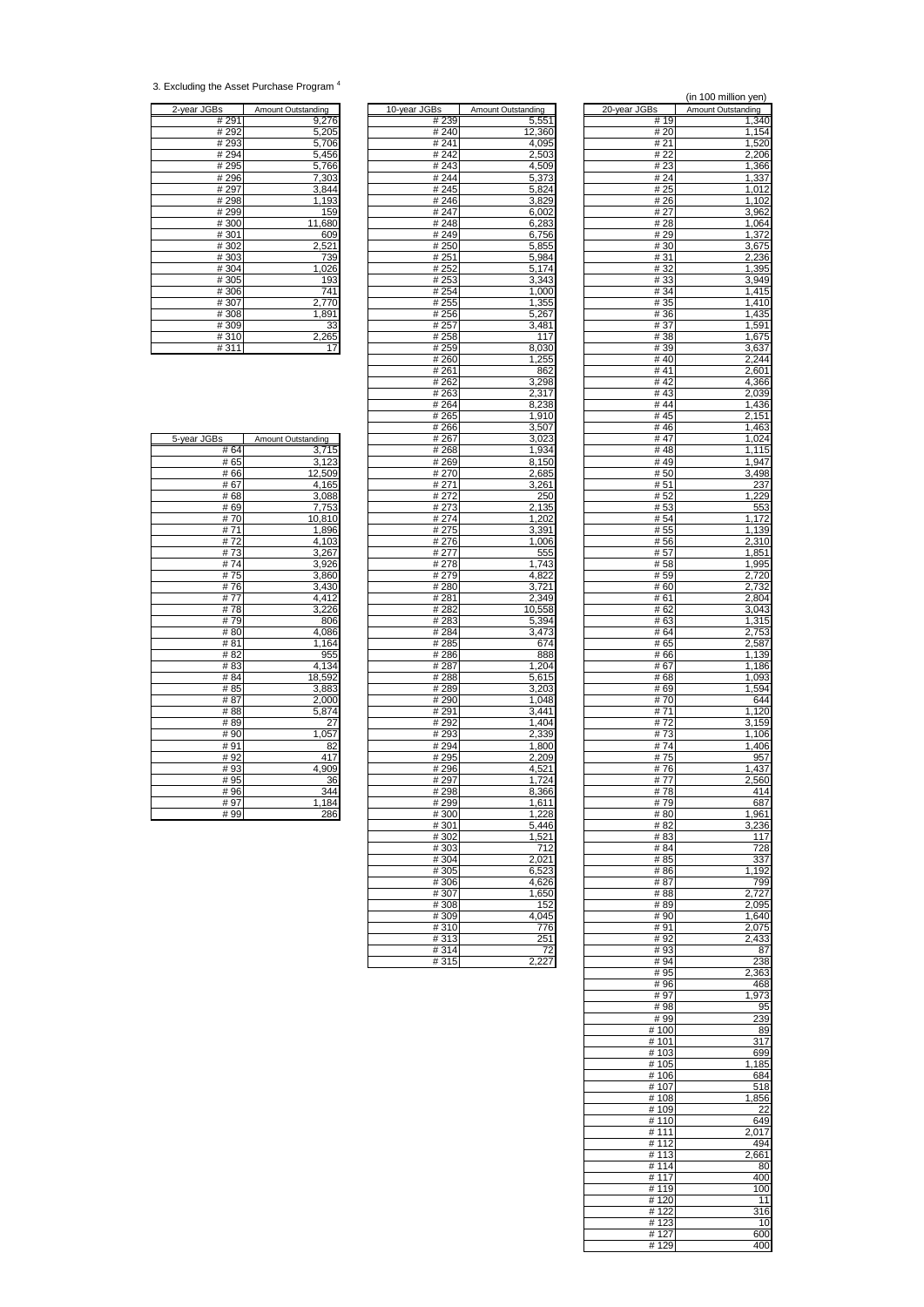<sup>3.</sup> Excluding the Asset Purchase Program <sup>4</sup>

| 2-year JGBs | Amount Outstanding |
|-------------|--------------------|
| # 291       | 9,276              |
| # 292       | 5,205              |
| #293        | 5,706              |
| #294        | 5,456              |
| #295        | 5,766              |
| #296        | 7,303              |
| #297        | 3,844              |
| #298        | 1,193              |
| # 299       | 159                |
| #300        | 11,680             |
| #301        | 609                |
| #302        | 2,521              |
| #303        | 739                |
| #304        | 1,026              |
| #305        | 193                |
| #306        | 741                |
| #307        | 2,770              |
| #308        | 1,891              |
| #309        | 33                 |
| #310        | 2,265              |
| #311        |                    |

|               |                    |                   |                    |                                | un 100 million you) |
|---------------|--------------------|-------------------|--------------------|--------------------------------|---------------------|
| 2-year JGBs   | Amount Outstanding | 10-year JGBs      | Amount Outstanding | 20-year JGBs                   | Amount Outstanding  |
| #291          | 9,276              | #239              | 5,551              | # 19                           | 1,340               |
| # 292         | 5,205              | #240              | 12,360             | # 20                           | 1,154               |
| # 293<br>#294 | 5,706<br>5,456     | #241<br>#242      | 4,095<br>2,503     | # 21<br># 22                   | 1,520<br>2,206      |
| #295          | 5,766              | #243              | 4,509              | #23                            | 1,366               |
| #296          | 7,303              | #244              | 5,373              | #24                            | 1,337               |
| # 297         | 3,844              | #245              | 5,824              | # 25                           | 1,012               |
| #298          | 1,193              | #246              | 3,829              | # 26                           | 1,102               |
| #299          | 159                | #247              | 6,002              | # 27                           | 3,962               |
| #300          | 11,680             | #248              | 6,283              | #28                            | $\overline{1,064}$  |
| #301<br>#302  | 609<br>2,521       | #249<br>#250      | 6,756<br>5,855     | #29<br># 30                    | 1,372               |
| #303          | 739                | # 251             | 5,984              | #31                            | 3,675<br>2,236      |
| #304          | 1,026              | # 252             | 5,174              | #32                            | 1,395               |
| #305          | 193                | # 253             | 3,343              | #33                            | 3,949               |
| #306          | 741                | # 254             | 1,000              | # 34                           | 1,415               |
| #307          | 2,770              | # 255             | 1,355              | # 35                           | 1,410               |
| #308          | 1,891              | #256              | 5,267              | #36                            | 1,435               |
| #309<br>#310  | 33<br>2,265        | # 257<br>#258     | 3,481<br>117       | # 37<br>#38                    | 1,591<br>1,675      |
| #311          | 17                 | #259              | 8,030              | # 39                           | 3,637               |
|               |                    | #260              | 1,255              | #40                            | 2,244               |
|               |                    | # 261             | 862                | #41                            | 2,601               |
|               |                    | # 262             | 3,298              | #42                            | 4,366               |
|               |                    | #263              | 2,317              | #43                            | 2,039               |
|               |                    | #264              | 8,238              | #44                            | 1,436               |
|               |                    | # 265<br>#266     | 1,910<br>3,507     | # 45<br>#46                    | 2,151<br>1,463      |
| 5-year JGBs   | Amount Outstanding | #267              | 3,023              | #47                            | 1,024               |
| # 64          | 3,715              | # 268             | 1,934              | #48                            | 1,115               |
| #65           | 3,123              | #269              | 8,150              | #49                            | 1,947               |
| #66           | 12,509             | # 270             | 2,685              | #50                            | 3,498               |
| #67           | 4,165              | # 271             | 3,261              | #51                            | 237                 |
| #68<br>#69    | 3.088<br>7,753     | #272<br>#273      | 250<br>2,135       | # 52<br>#53                    | 1,229               |
| #70           | 10,810             | #274              | 1,202              | # 54                           | 553<br>1,172        |
| #71           | 1,896              | #275              | 3,391              | # 55                           | 1,139               |
| #72           | 4,103              | #276              | 1,006              | #56                            | 2,310               |
| #73           | 3,267              | # 277             | 555                | #57                            | 1,851               |
| #74           | 3,926              | # 278             | 1,743              | # 58                           | 1,995               |
| #75           | 3,860              | #279              | 4,822              | # 59                           | 2,720               |
| #76<br>#77    | 3,430<br>4,412     | #280<br>#281      | 3,721<br>2,349     | #60<br># 61                    | 2,732<br>2,804      |
| #78           | 3,226              | #282              | 10,558             | # 62                           | 3,043               |
| #79           | 806                | #283              | 5,394              | # 63                           | 1,315               |
| #80           | 4,086              | # 284             | 3,473              | # 64                           | 2,753               |
| #81           | 1,164              | #285              | 674                | # 65                           | 2,587               |
| #82           | 955                | #286              | 888                | # 66                           | 1,139               |
| #83           | 4,134              | # 287             | 1,204              | # 67                           | 1,186               |
| #84<br>#85    | 18,592<br>3,883    | #288<br>#289      | 5,615<br>3,203     | #68<br># 69                    | 1,093<br>1,594      |
| #87           | 2,000              | #290              | 1.048              | #70                            | 644                 |
| #88           | 5,874              | #291              | 3,441              | #71                            | 1,120               |
| #89           | 27                 | #292              | 1,404              | #72                            | 3,159               |
| #90           | 1,057              | #293              | 2,339              | #73                            | 1,106               |
| #91           | 82                 | #294              | 1,800              | #74                            | 1,406               |
| #92<br>#93    | 417                | #295              | 2,209              | #75<br>#76                     | 957                 |
| #95           | 4,909<br>36        | #296<br>#297      | 4,521<br>1,724     | #77                            | 1,437<br>2,560      |
| #96           | 344                | #298              | 8,366              | #78                            | 414                 |
| #97           | 1,184              | #299              | 1,611              | #79                            | 687                 |
| #99           | 286                | #300              | 1,228              | #80                            | 1,961               |
|               |                    | #301              | 5,446              | # 82                           | 3,236               |
|               |                    | #302              | 1,521              | #83                            | 117                 |
|               |                    | #303<br>#304      | 712<br>2,021       | # 84<br># 85                   | 728<br>337          |
|               |                    | #305              | 6,523              | #86                            | 1,192               |
|               |                    | #306              | 4,626              | #87                            | 799                 |
|               |                    | #307              | 1,650              | #88                            | 2,727               |
|               |                    | #308              | 152                | #89                            | 2,095               |
|               |                    | #309              | 4.045              | # 90                           | 1,640               |
|               |                    | #310              | 776                | #91                            | 2,075               |
|               |                    | #313              | 251                | #92                            | 2,433               |
|               |                    | #314<br>$H$ $24E$ | 72<br>דממ          | #93<br>$\overline{H}$ $\Omega$ | 87<br>ດດດ           |

|                           |                    |                | (in 100 million yen) |
|---------------------------|--------------------|----------------|----------------------|
| Зs                        | Amount Outstanding | 20-year JGBs   | Amount Outstanding   |
| # 239<br># 240            | 5,551<br>12,360    | # 19<br># 20   | 1,340<br>1,154       |
| # 241                     | 4,095              | # 21           | 1,520                |
| # 242                     | 2,503              | # 22           | 2,206                |
| #243<br># 244             | 4,509<br>5,373     | # 23<br># 24   | 1,366<br>1,337       |
| #245                      | 5,824              | # 25           | 1,012                |
| #246                      | 3,829              | #26            | 1,102                |
| # 247                     | 6,002              | # 27<br>#28    | 3,962                |
| # 248<br>#249             | 6,283<br>6,756     | #29            | 1,064<br>1,372       |
| # 250                     | 5,855              | #30            | 3,675                |
| # 251                     | 5,984              | # 31           | 2,236                |
| # 252<br># 253            | 5,174<br>3,343     | # 32<br>#33    | 1,395<br>3,949       |
| # 254                     | 1,000              | #34            | 1,415                |
| # 255                     | 1,355              | # 35           | 1,410                |
| # 256<br># 257            | 5,267<br>3,481     | # 36<br>#37    | 1,435<br>1,591       |
| # 258                     | 117                | #38            | 1,675                |
| # 259                     | 8,030              | #39            | 3,637                |
| #260<br># 261             | 1,255<br>862       | # 40<br># 41   | 2,244<br>2,601       |
| # 262                     | 3,298              | #42            | 4,366                |
| # 263                     | 2,317              | #43            | 2,039                |
| # 264                     | 8,238              | #44            | 1,436                |
| # 265<br># 266            | 1,910<br>3,507     | # 45<br>#46    | 2,151<br>1,463       |
| # 267                     | 3.023              | #47            | 1,024                |
| # 268                     | 1,934              | #48            | 1,115                |
| # 269<br># 270            | 8,150<br>2,685     | #49<br>#50     | 1,947<br>3,498       |
| # 271                     | 3,261              | #51            | 237                  |
| # 272                     | 250                | # 52           | 1,229                |
| # 273<br># 274            | 2,135<br>1,202     | # 53<br># 54   | 553<br>1,172         |
| # 275                     | 3,391              | # 55           | 1,139                |
| $\frac{1}{4}$ 276         | 1,006              | #56            | 2,310                |
| # 277                     | 555                | # 57<br>#58    | 1,851                |
| # 278<br># 279            | 1,743<br>4,822     | # 59           | 1,995<br>2,720       |
| # 280                     | 3,721              | # 60           | 2,732                |
| # 281                     | 2,349              | # 61           | 2,804                |
| # 282<br># 283            | 10,558<br>5,394    | # 62<br># 63   | 3,043<br>1,315       |
| # 284                     | 3,473              | # 64           | 2,753                |
| # 285                     | 674                | # 65           | 2,587                |
| # 286<br># 287            | 888<br>1,204       | # 66<br># 67   | 1,139<br>1,186       |
| # 288                     | 5,615              | # 68           | 1,093                |
| # 289                     | 3,203              | #69            | 1,594                |
| #290<br>#291              | 1,048<br>3.441     | # 70<br># 71   | 644<br>1,120         |
| # 292                     | 1,404              | #72            | 3,159                |
| # 293                     | 2,339              | #73            | 1,106                |
| #294<br># 295             | 1,800<br>2,209     | #74<br># 75    | 1,406<br>957         |
| #296                      | 4,521              | #76            | 1,437                |
| #297                      | 1,724              | # 77           | 2,560                |
| #298<br># 299             | 8,366<br>1,611     | #78<br># 79    | 414<br>687           |
| #300                      | 1,228              | # 80           | 1,961                |
| #301                      | 5,446              | # 82           | 3,236                |
| # 302<br>$\frac{1}{4}303$ | 1.521<br>712       | # 83<br># 84   | 117<br>728           |
| #304                      | 2,021              | #85            | 337                  |
| #305                      | 6,523              | #86            | 1,192                |
| # 306                     | 4,626              | #87            | 799                  |
| # 307<br>#308             | 1,650<br>152       | #88<br>#89     | 2,727<br>2,095       |
| #309                      | 4,045              | # 90           | 1,640                |
| #310                      | 776                | # 91           | 2,075                |
| #313<br>#314              | 251<br>72          | #92<br>#93     | 2,433<br>87          |
| #315                      | 2,227              | # 94           | 238                  |
|                           |                    | # 95           | 2,363                |
|                           |                    | #96<br># 97    | 468<br>1,973         |
|                           |                    | #98            | 95                   |
|                           |                    | #99            | 239                  |
|                           |                    | #100<br># 101  | 89<br>317            |
|                           |                    | #103           | 699                  |
|                           |                    | # 105          | 1,185                |
|                           |                    | # 106<br>#107  | 684<br>518           |
|                           |                    | #108           | 1,856                |
|                           |                    | #109           | 22                   |
|                           |                    | # 110<br># 111 | 649<br>2,017         |
|                           |                    | # $112$        | 494                  |
|                           |                    | #113           | 2,661                |
|                           |                    | #114           | 80                   |
|                           |                    | #117<br>#119   | 400<br>100           |
|                           |                    | #120           | 11                   |
|                           |                    | # 122          | 316                  |
|                           |                    | #123<br>#127   | 10<br>600            |
|                           |                    | # 129          | 400                  |

| #65  | 3,123                  |
|------|------------------------|
| #66  | 12,509                 |
| #67  | 4,165                  |
| #68  | 3,088                  |
| #69  |                        |
| #70  |                        |
| #71  | $\frac{7,753}{10,810}$ |
| #72  | $\frac{4,103}{3,267}$  |
| #73  |                        |
| #74  | 3,926                  |
| #75  | 3,860                  |
| #76  | 3,430                  |
| #77  | 4,412                  |
| #78  | 3,226                  |
| #79  | 806                    |
| #80  | 4,086                  |
| #81  | 1,164                  |
| # 82 | 955                    |
| #83  | 4,134                  |
| # 84 | 18,592                 |
| # 85 | 3,883                  |
| # 87 | 2,000                  |
| #88  | 5,874                  |
| #89  | $\overline{27}$        |
| #90  | 1,057                  |
| #91  | 82                     |
| #92  | 417                    |
| #93  | 4,909                  |
| #95  | 36                     |
| #96  | 344                    |
| # 97 | $\frac{1}{1,184}$      |
| # 99 | 286                    |